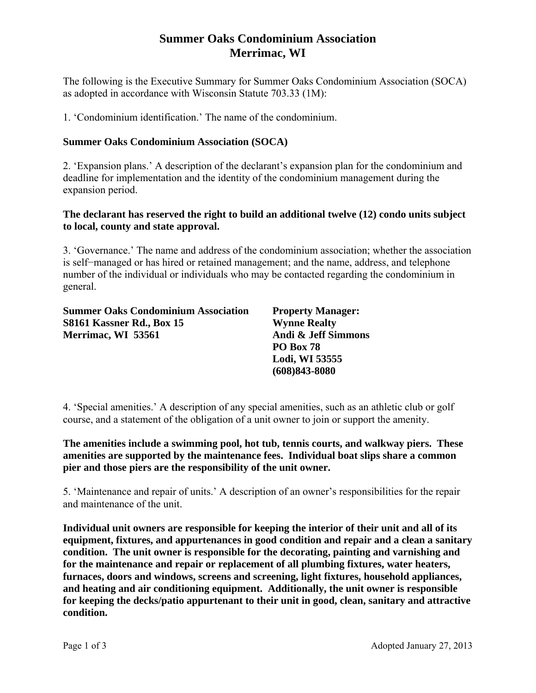# **Summer Oaks Condominium Association Merrimac, WI**

The following is the Executive Summary for Summer Oaks Condominium Association (SOCA) as adopted in accordance with Wisconsin Statute 703.33 (1M):

1. 'Condominium identification.' The name of the condominium.

### **Summer Oaks Condominium Association (SOCA)**

2. 'Expansion plans.' A description of the declarant's expansion plan for the condominium and deadline for implementation and the identity of the condominium management during the expansion period.

#### **The declarant has reserved the right to build an additional twelve (12) condo units subject to local, county and state approval.**

3. 'Governance.' The name and address of the condominium association; whether the association is self−managed or has hired or retained management; and the name, address, and telephone number of the individual or individuals who may be contacted regarding the condominium in general.

| <b>Summer Oaks Condominium Association</b> |  |
|--------------------------------------------|--|
| S8161 Kassner Rd., Box 15                  |  |
| Merrimac, WI 53561                         |  |
|                                            |  |

**Property Manager: Wynne Realty Andi & Jeff Simmons PO Box 78 Lodi, WI 53555 (608)843-8080** 

4. 'Special amenities.' A description of any special amenities, such as an athletic club or golf course, and a statement of the obligation of a unit owner to join or support the amenity.

**The amenities include a swimming pool, hot tub, tennis courts, and walkway piers. These amenities are supported by the maintenance fees. Individual boat slips share a common pier and those piers are the responsibility of the unit owner.** 

5. 'Maintenance and repair of units.' A description of an owner's responsibilities for the repair and maintenance of the unit.

**Individual unit owners are responsible for keeping the interior of their unit and all of its equipment, fixtures, and appurtenances in good condition and repair and a clean a sanitary condition. The unit owner is responsible for the decorating, painting and varnishing and for the maintenance and repair or replacement of all plumbing fixtures, water heaters, furnaces, doors and windows, screens and screening, light fixtures, household appliances, and heating and air conditioning equipment. Additionally, the unit owner is responsible for keeping the decks/patio appurtenant to their unit in good, clean, sanitary and attractive condition.**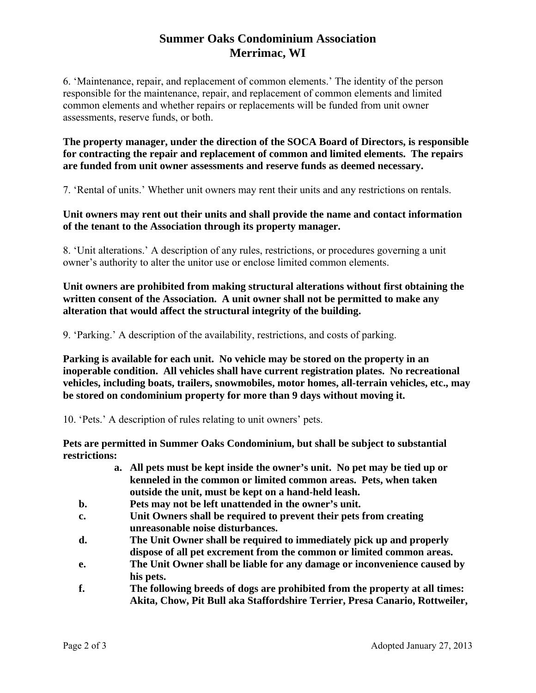# **Summer Oaks Condominium Association Merrimac, WI**

6. 'Maintenance, repair, and replacement of common elements.' The identity of the person responsible for the maintenance, repair, and replacement of common elements and limited common elements and whether repairs or replacements will be funded from unit owner assessments, reserve funds, or both.

**The property manager, under the direction of the SOCA Board of Directors, is responsible for contracting the repair and replacement of common and limited elements. The repairs are funded from unit owner assessments and reserve funds as deemed necessary.** 

7. 'Rental of units.' Whether unit owners may rent their units and any restrictions on rentals.

### **Unit owners may rent out their units and shall provide the name and contact information of the tenant to the Association through its property manager.**

8. 'Unit alterations.' A description of any rules, restrictions, or procedures governing a unit owner's authority to alter the unitor use or enclose limited common elements.

### **Unit owners are prohibited from making structural alterations without first obtaining the written consent of the Association. A unit owner shall not be permitted to make any alteration that would affect the structural integrity of the building.**

9. 'Parking.' A description of the availability, restrictions, and costs of parking.

**Parking is available for each unit. No vehicle may be stored on the property in an inoperable condition. All vehicles shall have current registration plates. No recreational vehicles, including boats, trailers, snowmobiles, motor homes, all-terrain vehicles, etc., may be stored on condominium property for more than 9 days without moving it.** 

10. 'Pets.' A description of rules relating to unit owners' pets.

**Pets are permitted in Summer Oaks Condominium, but shall be subject to substantial restrictions:** 

- **a. All pets must be kept inside the owner's unit. No pet may be tied up or kenneled in the common or limited common areas. Pets, when taken outside the unit, must be kept on a hand-held leash.**
- **b. Pets may not be left unattended in the owner's unit.**
- **c. Unit Owners shall be required to prevent their pets from creating unreasonable noise disturbances.**
- **d. The Unit Owner shall be required to immediately pick up and properly dispose of all pet excrement from the common or limited common areas.**
- **e. The Unit Owner shall be liable for any damage or inconvenience caused by his pets.**
- **f. The following breeds of dogs are prohibited from the property at all times: Akita, Chow, Pit Bull aka Staffordshire Terrier, Presa Canario, Rottweiler,**